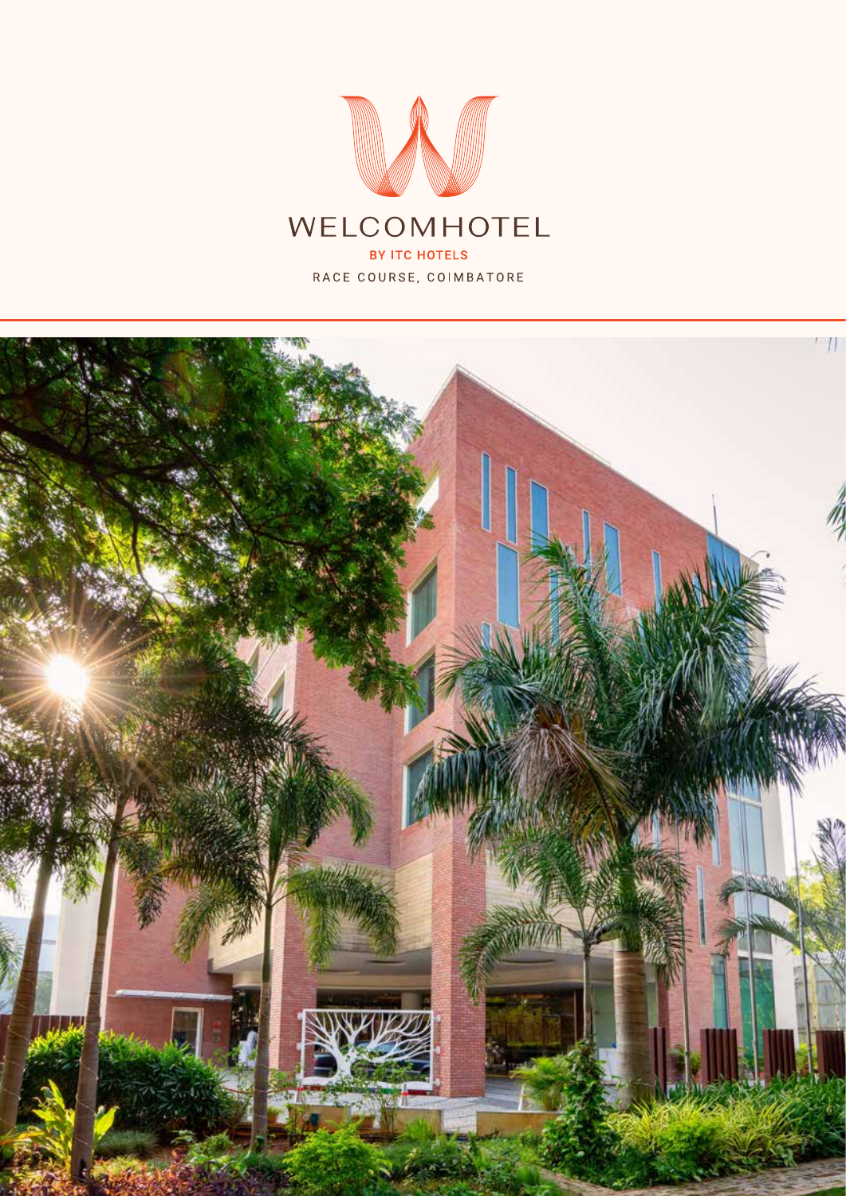

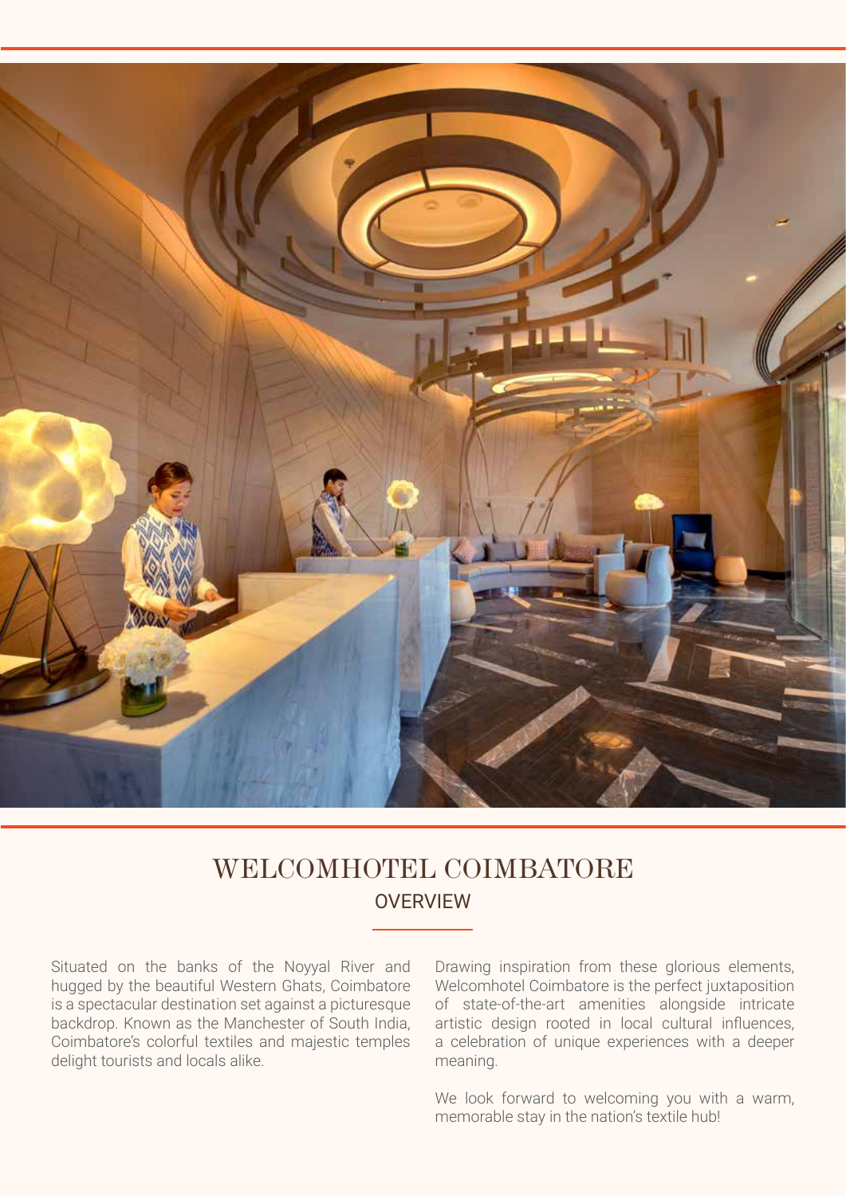

### **OVERVIEW** WELCOMHOTEL COIMBATORE

Situated on the banks of the Noyyal River and hugged by the beautiful Western Ghats, Coimbatore is a spectacular destination set against a picturesque backdrop. Known as the Manchester of South India, Coimbatore's colorful textiles and majestic temples delight tourists and locals alike.

Drawing inspiration from these glorious elements, Welcomhotel Coimbatore is the perfect juxtaposition of state-of-the-art amenities alongside intricate artistic design rooted in local cultural influences, a celebration of unique experiences with a deeper meaning.

We look forward to welcoming you with a warm, memorable stay in the nation's textile hub!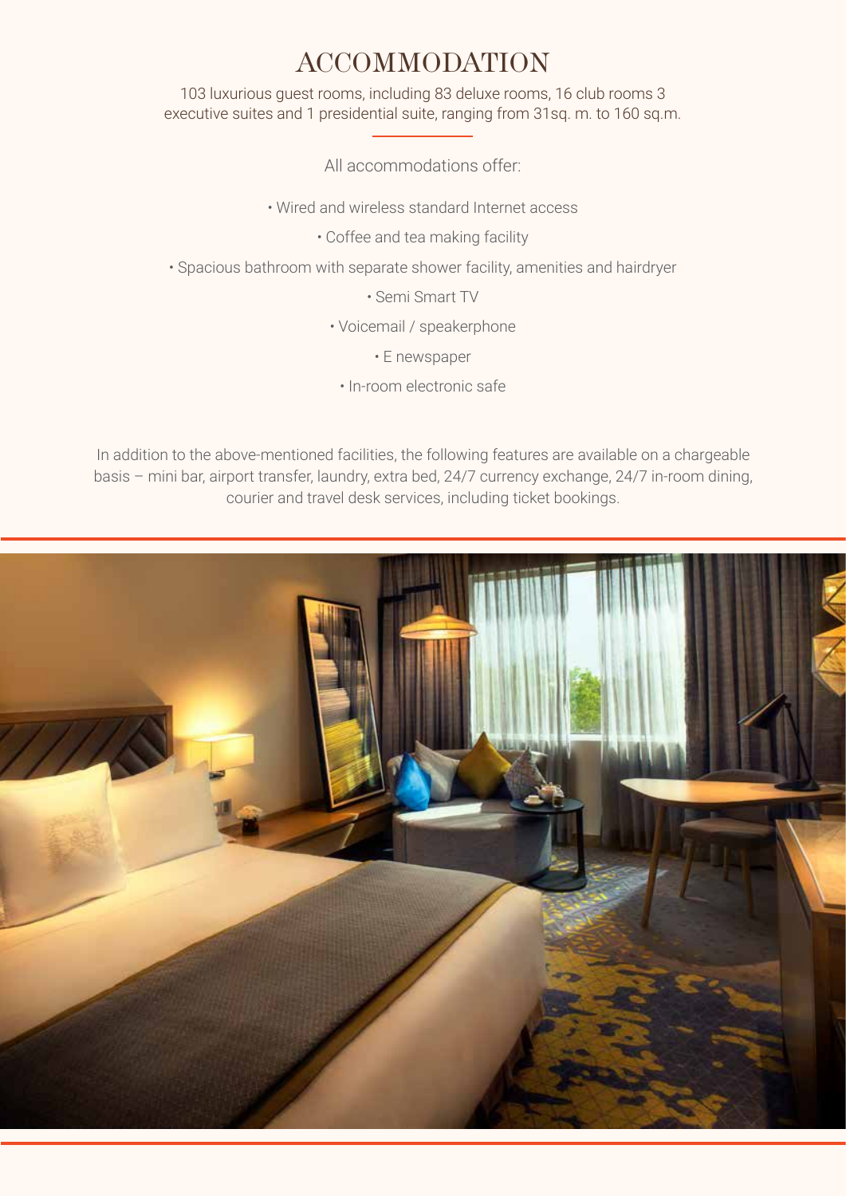## ACCOMMODATION

103 luxurious guest rooms, including 83 deluxe rooms, 16 club rooms 3 executive suites and 1 presidential suite, ranging from 31sq. m. to 160 sq.m.

All accommodations offer:

• Wired and wireless standard Internet access

• Coffee and tea making facility

• Spacious bathroom with separate shower facility, amenities and hairdryer

• Semi Smart TV

• Voicemail / speakerphone

• E newspaper

• In-room electronic safe

In addition to the above-mentioned facilities, the following features are available on a chargeable basis – mini bar, airport transfer, laundry, extra bed, 24/7 currency exchange, 24/7 in-room dining, courier and travel desk services, including ticket bookings.

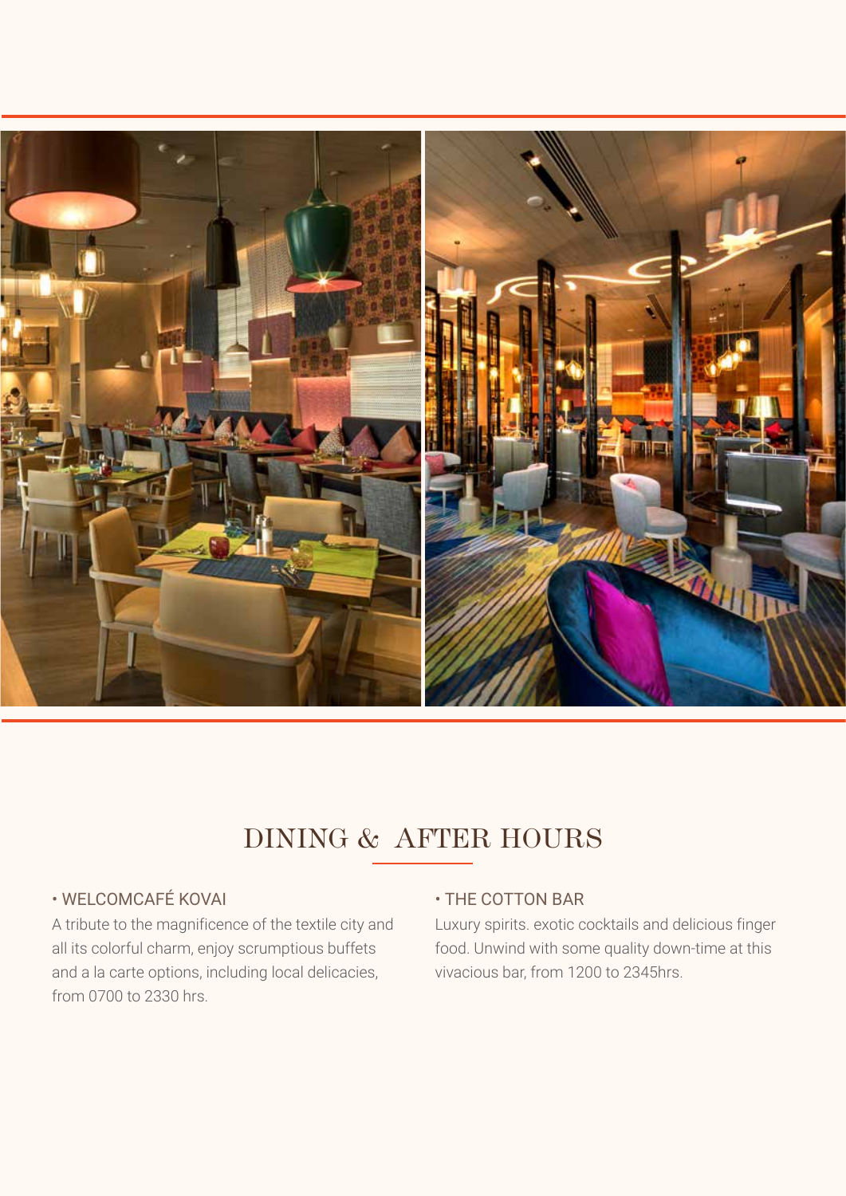

# DINING & AFTER HOURS

### • WELCOMCAFÉ KOVAI

A tribute to the magnificence of the textile city and all its colorful charm, enjoy scrumptious buffets and a la carte options, including local delicacies, from 0700 to 2330 hrs.

#### • THE COTTON BAR

Luxury spirits. exotic cocktails and delicious finger food. Unwind with some quality down-time at this vivacious bar, from 1200 to 2345hrs.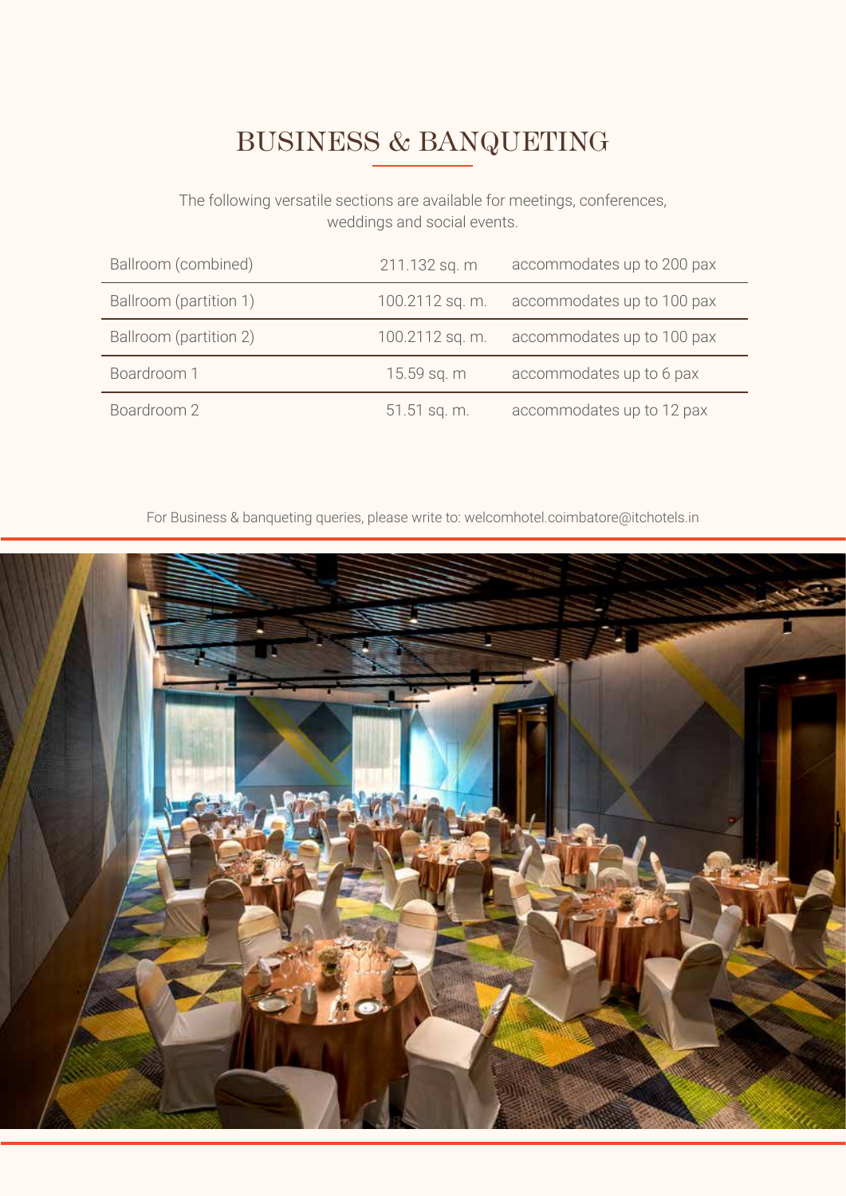# BUSINESS & BANQUETING

The following versatile sections are available for meetings, conferences, weddings and social events.

| Ballroom (combined)    | 211.132 sq. m   | accommodates up to 200 pax |
|------------------------|-----------------|----------------------------|
| Ballroom (partition 1) | 100.2112 sq. m. | accommodates up to 100 pax |
| Ballroom (partition 2) | 100.2112 sq. m. | accommodates up to 100 pax |
| Boardroom 1            | 15.59 sq. m     | accommodates up to 6 pax   |
| Boardroom 2            | 51.51 sq. m.    | accommodates up to 12 pax  |

For Business & banqueting queries, please write to: welcomhotel.coimbatore@itchotels.in

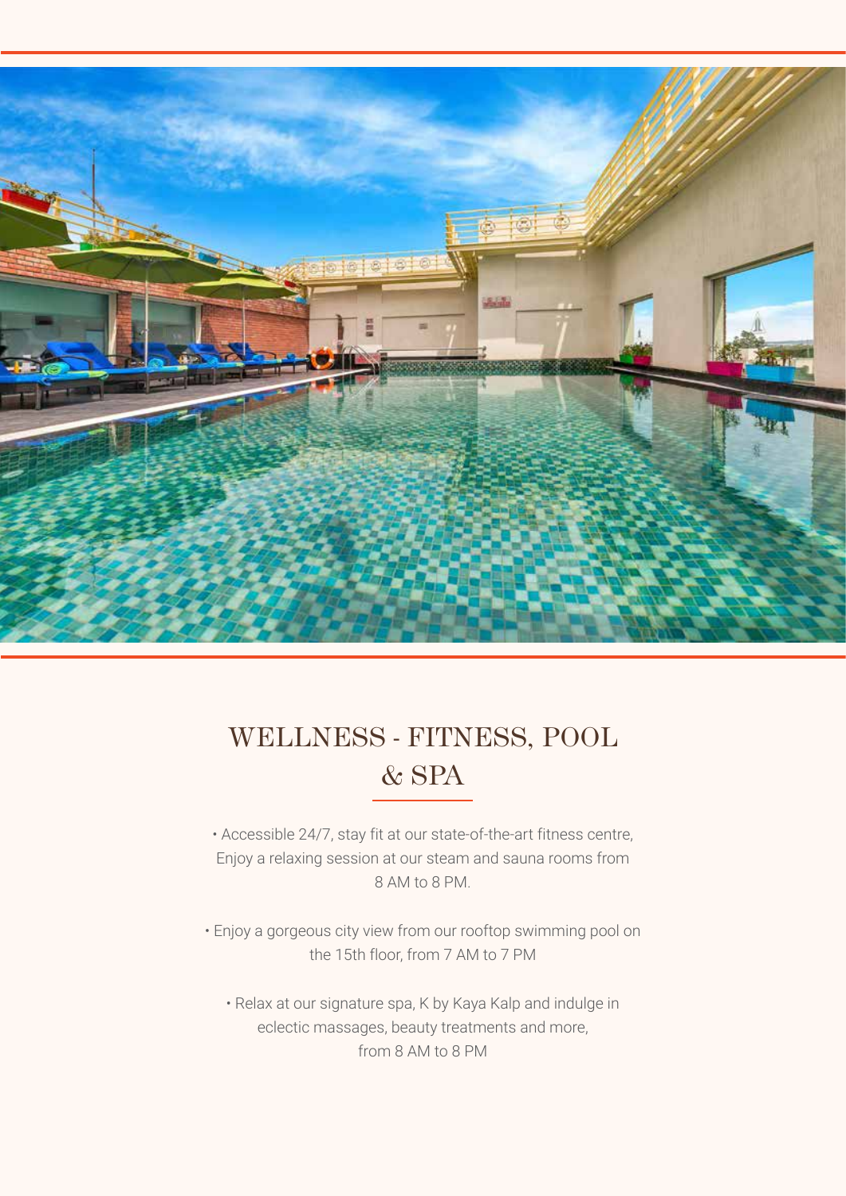

## WELLNESS - FITNESS, POOL & SPA

• Accessible 24/7, stay fit at our state-of-the-art fitness centre, Enjoy a relaxing session at our steam and sauna rooms from 8 AM to 8 PM.

• Enjoy a gorgeous city view from our rooftop swimming pool on the 15th floor, from 7 AM to 7 PM

• Relax at our signature spa, K by Kaya Kalp and indulge in eclectic massages, beauty treatments and more, from 8 AM to 8 PM